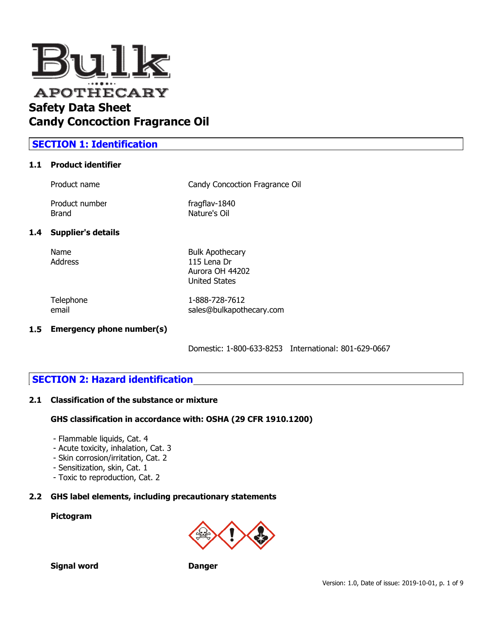

# **SECTION 1: Identification**

#### **1.1 Product identifier**

| Product name   | Candy Concoction Fragrance Oil |
|----------------|--------------------------------|
| Product number | fragflav-1840                  |

Brand Nature's Oil

# **1.4 Supplier's details**

Name Bulk Apothecary Address 115 Lena Dr Aurora OH 44202 United States

Telephone 1-888-728-7612 email sales@bulkapothecary.com

#### **1.5 Emergency phone number(s)**

Domestic: 1-800-633-8253 International: 801-629-0667

# **SECTION 2: Hazard identification**

#### **2.1 Classification of the substance or mixture**

#### **GHS classification in accordance with: OSHA (29 CFR 1910.1200)**

- Flammable liquids, Cat. 4
- Acute toxicity, inhalation, Cat. 3
- Skin corrosion/irritation, Cat. 2
- Sensitization, skin, Cat. 1
- Toxic to reproduction, Cat. 2

#### **2.2 GHS label elements, including precautionary statements**

#### **Pictogram**



**Signal word Danger**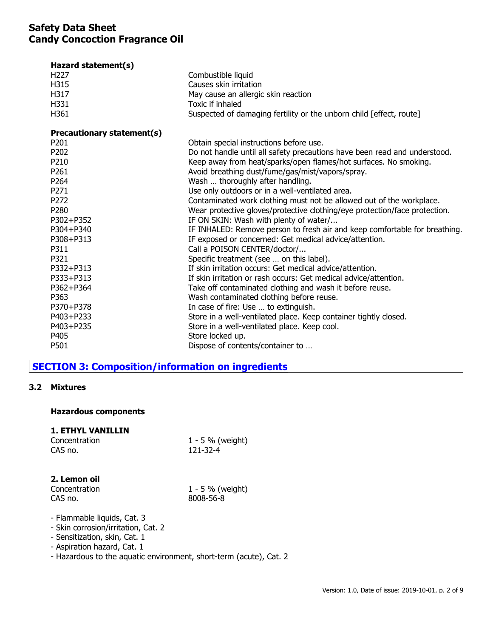| Hazard statement(s)        |                                                                            |
|----------------------------|----------------------------------------------------------------------------|
| H <sub>227</sub>           | Combustible liquid                                                         |
| H315                       | Causes skin irritation                                                     |
| H317                       | May cause an allergic skin reaction                                        |
| H331                       | Toxic if inhaled                                                           |
| H361                       | Suspected of damaging fertility or the unborn child [effect, route]        |
| Precautionary statement(s) |                                                                            |
| P201                       | Obtain special instructions before use.                                    |
| P202                       | Do not handle until all safety precautions have been read and understood.  |
| P210                       | Keep away from heat/sparks/open flames/hot surfaces. No smoking.           |
| P261                       | Avoid breathing dust/fume/gas/mist/vapors/spray.                           |
| P264                       | Wash  thoroughly after handling.                                           |
| P271                       | Use only outdoors or in a well-ventilated area.                            |
| P272                       | Contaminated work clothing must not be allowed out of the workplace.       |
| P280                       | Wear protective gloves/protective clothing/eye protection/face protection. |
| P302+P352                  | IF ON SKIN: Wash with plenty of water/                                     |
| P304+P340                  | IF INHALED: Remove person to fresh air and keep comfortable for breathing. |
| P308+P313                  | IF exposed or concerned: Get medical advice/attention.                     |
| P311                       | Call a POISON CENTER/doctor/                                               |
| P321                       | Specific treatment (see  on this label).                                   |
| P332+P313                  | If skin irritation occurs: Get medical advice/attention.                   |
| P333+P313                  | If skin irritation or rash occurs: Get medical advice/attention.           |
| P362+P364                  | Take off contaminated clothing and wash it before reuse.                   |
| P363                       | Wash contaminated clothing before reuse.                                   |
| P370+P378                  | In case of fire: Use  to extinguish.                                       |
| P403+P233                  | Store in a well-ventilated place. Keep container tightly closed.           |
| P403+P235                  | Store in a well-ventilated place. Keep cool.                               |
| P405                       | Store locked up.                                                           |
| P501                       | Dispose of contents/container to                                           |

# **SECTION 3: Composition/information on ingredients**

#### **3.2 Mixtures**

#### **Hazardous components**

# **1. ETHYL VANILLIN**

| Concentration |  |
|---------------|--|
| CAS no.       |  |

 $1 - 5$  % (weight)  $121 - 32 - 4$ 

# **2. Lemon oil**

CAS no. 8008-56-8

 $1 - 5$  % (weight)

- Flammable liquids, Cat. 3
- Skin corrosion/irritation, Cat. 2
- Sensitization, skin, Cat. 1
- Aspiration hazard, Cat. 1
- Hazardous to the aquatic environment, short-term (acute), Cat. 2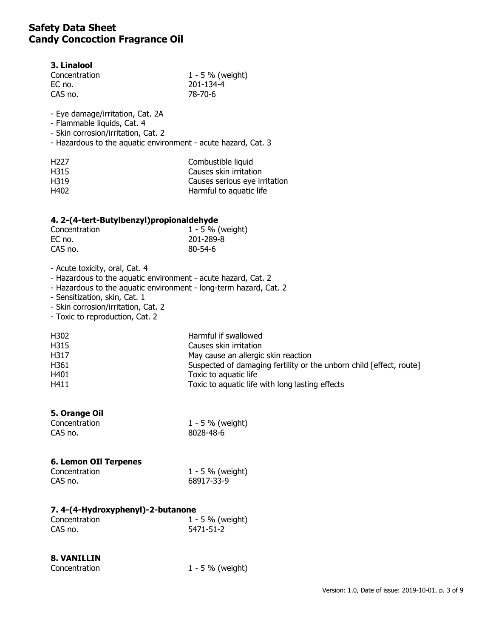#### **3. Linalool**

| $1 - 5 \%$ (weight) |
|---------------------|
| 201-134-4           |
| 78-70-6             |
|                     |

- Eye damage/irritation, Cat. 2A

- Flammable liquids, Cat. 4

- Skin corrosion/irritation, Cat. 2

- Hazardous to the aquatic environment - acute hazard, Cat. 3

| H <sub>227</sub> | Combustible liquid            |
|------------------|-------------------------------|
| H315             | Causes skin irritation        |
| H319             | Causes serious eye irritation |
| H402             | Harmful to aquatic life       |

## **4. 2-(4-tert-Butylbenzyl)propionaldehyde**

| Concentration | $1 - 5 \%$ (weight) |
|---------------|---------------------|
| EC no.        | 201-289-8           |
| CAS no.       | $80 - 54 - 6$       |

- Acute toxicity, oral, Cat. 4

- Hazardous to the aquatic environment - acute hazard, Cat. 2

- Hazardous to the aquatic environment long-term hazard, Cat. 2
- Sensitization, skin, Cat. 1
- Skin corrosion/irritation, Cat. 2

- Toxic to reproduction, Cat. 2

| H302 | Harmful if swallowed                                                |
|------|---------------------------------------------------------------------|
| H315 | Causes skin irritation                                              |
| H317 | May cause an allergic skin reaction                                 |
| H361 | Suspected of damaging fertility or the unborn child [effect, route] |
| H401 | Toxic to aquatic life                                               |
| H411 | Toxic to aquatic life with long lasting effects                     |

## **5. Orange Oil**

| Concentration | 1 - 5 % (weight) |
|---------------|------------------|
| CAS no.       | 8028-48-6        |

## **6. Lemon OIl Terpenes**

| Concentration | 1 - 5 % (weight) |
|---------------|------------------|
| CAS no.       | 68917-33-9       |

# **7. 4-(4-Hydroxyphenyl)-2-butanone**

| Concentration | 1 - 5 % (weight) |
|---------------|------------------|
| CAS no.       | 5471-51-2        |

# **8. VANILLIN**

| Concentration |  |
|---------------|--|
|               |  |

 $1 - 5$  % (weight)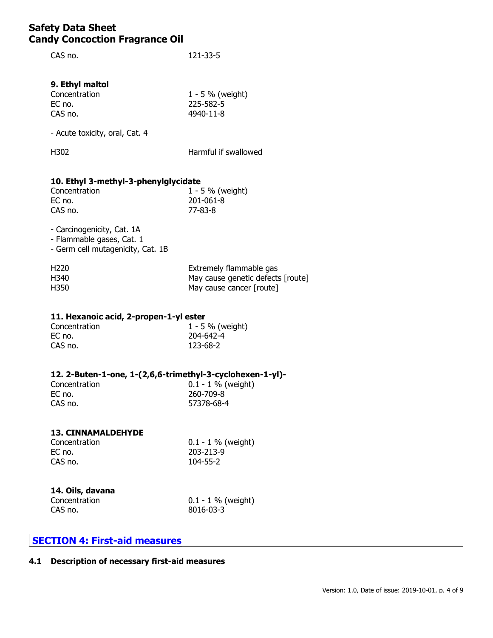CAS no. 121-33-5

# **9. Ethyl maltol**

| Concentration | $1 - 5 \%$ (weight) |
|---------------|---------------------|
| EC no.        | 225-582-5           |
| CAS no.       | 4940-11-8           |

- Acute toxicity, oral, Cat. 4

H302 Harmful if swallowed

# **10. Ethyl 3-methyl-3-phenylglycidate**

| Concentration | $1 - 5 \%$ (weight) |
|---------------|---------------------|
| EC no.        | 201-061-8           |
| CAS no.       | 77-83-8             |

- Carcinogenicity, Cat. 1A - Flammable gases, Cat. 1

- Germ cell mutagenicity, Cat. 1B

| H <sub>220</sub> | Extremely flammable gas           |
|------------------|-----------------------------------|
| H340             | May cause genetic defects [route] |
| H350             | May cause cancer [route]          |

## **11. Hexanoic acid, 2-propen-1-yl ester**

| Concentration | $1 - 5 \%$ (weight) |
|---------------|---------------------|
| EC no.        | 204-642-4           |
| CAS no.       | 123-68-2            |

## **12. 2-Buten-1-one, 1-(2,6,6-trimethyl-3-cyclohexen-1-yl)-**

| Concentration | $0.1 - 1$ % (weight) |
|---------------|----------------------|
| EC no.        | 260-709-8            |
| CAS no.       | 57378-68-4           |

#### **13. CINNAMALDEHYDE**

| Concentration |  |
|---------------|--|
| EC no.        |  |
| CAS no.       |  |

 $0.1 - 1$  % (weight)  $203 - 213 - 9$ 104-55-2

# **14. Oils, davana**

Concentration 0.1 - 1 % (weight)<br>CAS no. 8016-03-3  $8016 - 03 - 3$ 

# **SECTION 4: First-aid measures**

## **4.1 Description of necessary first-aid measures**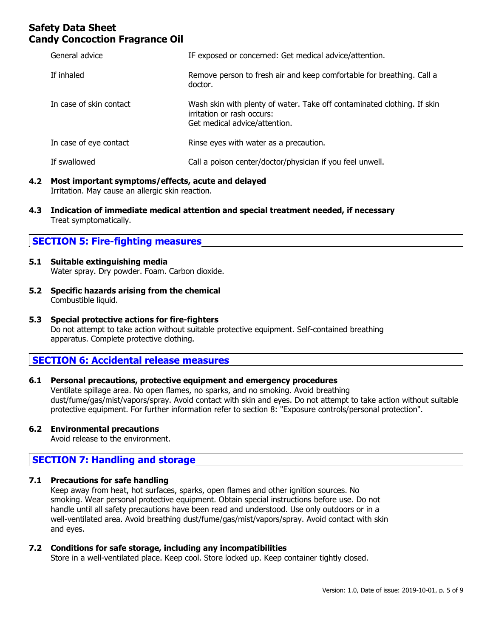| General advice          | IF exposed or concerned: Get medical advice/attention.                                                                                 |
|-------------------------|----------------------------------------------------------------------------------------------------------------------------------------|
| If inhaled              | Remove person to fresh air and keep comfortable for breathing. Call a<br>doctor.                                                       |
| In case of skin contact | Wash skin with plenty of water. Take off contaminated clothing. If skin<br>irritation or rash occurs:<br>Get medical advice/attention. |
| In case of eye contact  | Rinse eyes with water as a precaution.                                                                                                 |
| If swallowed            | Call a poison center/doctor/physician if you feel unwell.                                                                              |

#### **4.2 Most important symptoms/effects, acute and delayed** Irritation. May cause an allergic skin reaction.

**4.3 Indication of immediate medical attention and special treatment needed, if necessary** Treat symptomatically.

# **SECTION 5: Fire-fighting measures**

- **5.1 Suitable extinguishing media** Water spray. Dry powder. Foam. Carbon dioxide.
- **5.2 Specific hazards arising from the chemical** Combustible liquid.

#### **5.3 Special protective actions for fire-fighters** Do not attempt to take action without suitable protective equipment. Self-contained breathing apparatus. Complete protective clothing.

# **SECTION 6: Accidental release measures**

## **6.1 Personal precautions, protective equipment and emergency procedures**

Ventilate spillage area. No open flames, no sparks, and no smoking. Avoid breathing dust/fume/gas/mist/vapors/spray. Avoid contact with skin and eyes. Do not attempt to take action without suitable protective equipment. For further information refer to section 8: "Exposure controls/personal protection".

## **6.2 Environmental precautions**

Avoid release to the environment.

# **SECTION 7: Handling and storage**

## **7.1 Precautions for safe handling**

Keep away from heat, hot surfaces, sparks, open flames and other ignition sources. No smoking. Wear personal protective equipment. Obtain special instructions before use. Do not handle until all safety precautions have been read and understood. Use only outdoors or in a well-ventilated area. Avoid breathing dust/fume/gas/mist/vapors/spray. Avoid contact with skin and eyes.

#### **7.2 Conditions for safe storage, including any incompatibilities**

Store in a well-ventilated place. Keep cool. Store locked up. Keep container tightly closed.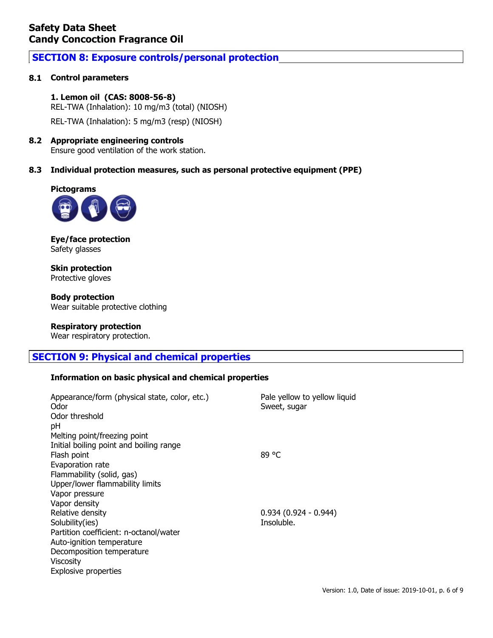# **SECTION 8: Exposure controls/personal protection**

# **8.1 Control parameters**

**1. Lemon oil (CAS: 8008-56-8)** REL-TWA (Inhalation): 10 mg/m3 (total) (NIOSH) REL-TWA (Inhalation): 5 mg/m3 (resp) (NIOSH)

#### **8.2 Appropriate engineering controls** Ensure good ventilation of the work station.

## **8.3 Individual protection measures, such as personal protective equipment (PPE)**





**Eye/face protection** Safety glasses

**Skin protection** Protective gloves

**Body protection** Wear suitable protective clothing

#### **Respiratory protection**

Wear respiratory protection.

# **SECTION 9: Physical and chemical properties**

#### **Information on basic physical and chemical properties**

| Appearance/form (physical state, color, etc.)<br>Odor<br>Odor threshold | Pale yellow to yellow liquid<br>Sweet, sugar |
|-------------------------------------------------------------------------|----------------------------------------------|
| pH                                                                      |                                              |
| Melting point/freezing point                                            |                                              |
| Initial boiling point and boiling range                                 |                                              |
| Flash point                                                             | 89 °C                                        |
| Evaporation rate                                                        |                                              |
| Flammability (solid, gas)                                               |                                              |
| Upper/lower flammability limits                                         |                                              |
| Vapor pressure                                                          |                                              |
| Vapor density                                                           |                                              |
| Relative density                                                        | $0.934(0.924 - 0.944)$                       |
| Solubility(ies)                                                         | Insoluble.                                   |
| Partition coefficient: n-octanol/water                                  |                                              |
| Auto-ignition temperature                                               |                                              |
| Decomposition temperature                                               |                                              |
| Viscosity                                                               |                                              |
| Explosive properties                                                    |                                              |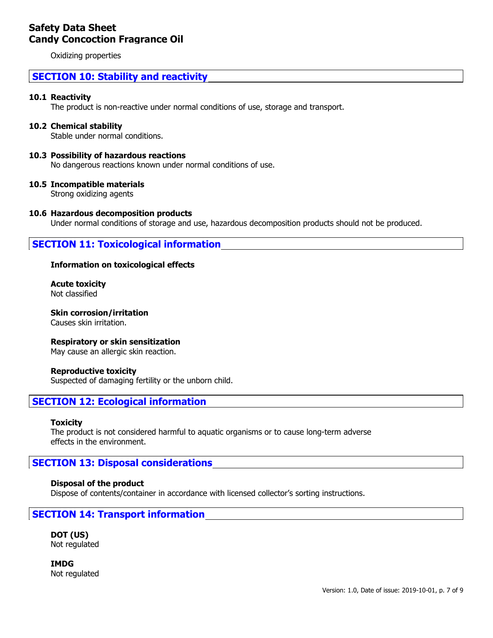Oxidizing properties

# **SECTION 10: Stability and reactivity**

#### **10.1 Reactivity**

The product is non-reactive under normal conditions of use, storage and transport.

#### **10.2 Chemical stability**

Stable under normal conditions.

#### **10.3 Possibility of hazardous reactions**

No dangerous reactions known under normal conditions of use.

#### **10.5 Incompatible materials**

Strong oxidizing agents

#### **10.6 Hazardous decomposition products**

Under normal conditions of storage and use, hazardous decomposition products should not be produced.

# **SECTION 11: Toxicological information**

#### **Information on toxicological effects**

**Acute toxicity** Not classified

**Skin corrosion/irritation** Causes skin irritation.

**Respiratory or skin sensitization**

May cause an allergic skin reaction.

#### **Reproductive toxicity**

Suspected of damaging fertility or the unborn child.

## **SECTION 12: Ecological information**

#### **Toxicity**

The product is not considered harmful to aquatic organisms or to cause long-term adverse effects in the environment.

## **SECTION 13: Disposal considerations**

#### **Disposal of the product**

Dispose of contents/container in accordance with licensed collector's sorting instructions.

## **SECTION 14: Transport information**

**DOT (US)** Not regulated

**IMDG** Not regulated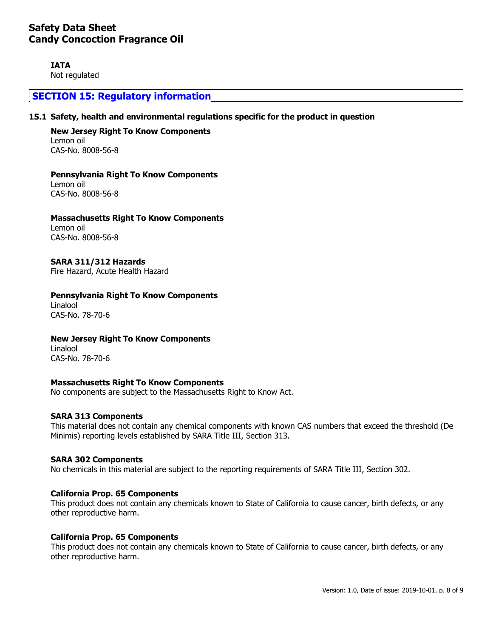**IATA**

Not regulated

# **SECTION 15: Regulatory information**

#### **15.1 Safety, health and environmental regulations specific for the product in question**

**New Jersey Right To Know Components** Lemon oil CAS-No. 8008-56-8

**Pennsylvania Right To Know Components** Lemon oil CAS-No. 8008-56-8

**Massachusetts Right To Know Components** Lemon oil CAS-No. 8008-56-8

**SARA 311/312 Hazards** Fire Hazard, Acute Health Hazard

**Pennsylvania Right To Know Components** Linalool CAS-No. 78-70-6

**New Jersey Right To Know Components**

Linalool CAS-No. 78-70-6

#### **Massachusetts Right To Know Components**

No components are subject to the Massachusetts Right to Know Act.

#### **SARA 313 Components**

This material does not contain any chemical components with known CAS numbers that exceed the threshold (De Minimis) reporting levels established by SARA Title III, Section 313.

#### **SARA 302 Components**

No chemicals in this material are subject to the reporting requirements of SARA Title III, Section 302.

#### **California Prop. 65 Components**

This product does not contain any chemicals known to State of California to cause cancer, birth defects, or any other reproductive harm.

#### **California Prop. 65 Components**

This product does not contain any chemicals known to State of California to cause cancer, birth defects, or any other reproductive harm.